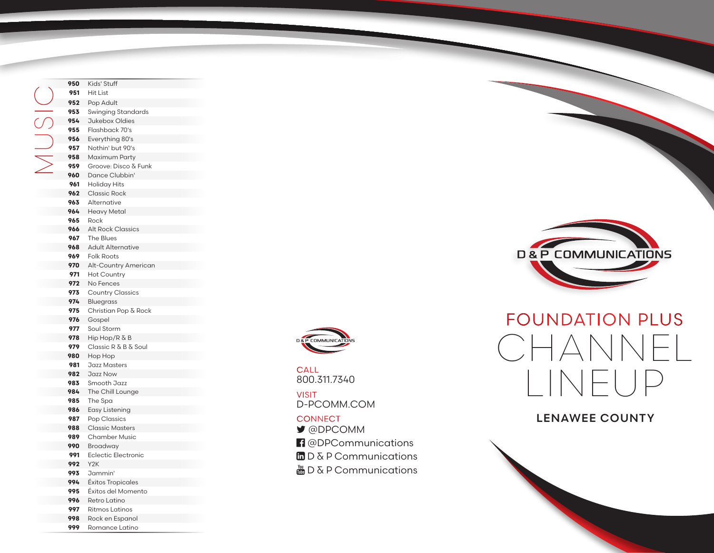Kids' Stuff Hit List Pop Adult Swinging Standards Jukebox Oldies Flashback 70's Everything 80's Nothin' but 90's Maximum Party Groove: Disco & Funk Dance Clubbin' Holiday Hits Classic Rock Alternative Heavy Metal Rock Alt Rock Classics The Blues Adult Alternative Folk Roots Alt-Country American Hot Country No Fences Country Classics Bluegrass Christian Pop & Rock Gospel Soul Storm Hip Hop/R & B Classic R & B & Soul Hop Hop Jazz Masters Jazz Now Smooth Jazz The Chill Lounge The Spa Easy Listening Pop Classics Classic Masters Chamber Music Broadway Eclectic Electronic Y2K Jammin' Éxitos Tropicales Éxitos del Momento Retro Latino Ritmos Latinos O<br>MUSI<br>Z

> Rock en Espanol Romance Latino



800.311.7340 **CALL** 

D-PCOMM.COM VISIT

#### **CONNECT**

- @DPCOMM
- <sup>1</sup> @DPCommunications
- $\Box$  D & P Communications
- $\frac{M_{\text{min}}}{M_{\text{min}}}$  D & P Communications



# FOUNDATION PLUS CHANNEL LINEUP

### LENAWEE COUNTY